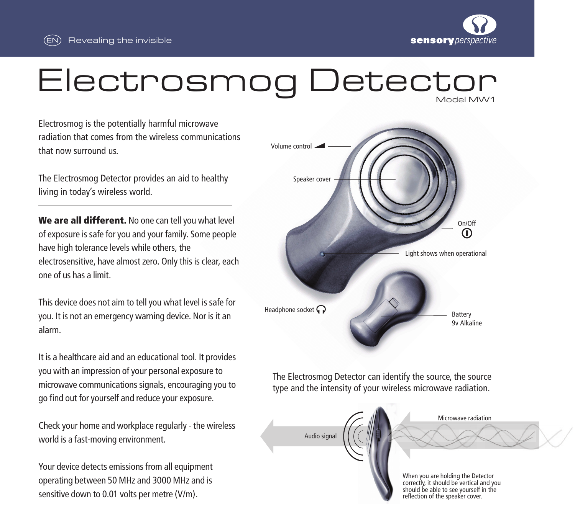



## Electrosmog Detector Model MW1

Electrosmog is the potentially harmful microwave radiation that comes from the wireless communications that now surround us.

The Electrosmog Detector provides an aid to healthy living in today's wireless world.

We are all different. No one can tell you what level of exposure is safe for you and your family. Some people have high tolerance levels while others, the electrosensitive, have almost zero. Only this is clear, each one of us has a limit.

This device does not aim to tell you what level is safe for you. It is not an emergency warning device. Nor is it an alarm.

It is a healthcare aid and an educational tool. It provides you with an impression of your personal exposure to microwave communications signals, encouraging you to go find out for yourself and reduce your exposure.

Check your home and workplace regularly - the wireless world is a fast-moving environment.

Your device detects emissions from all equipment operating between 50 MHz and 3000 MHz and is sensitive down to 0.01 volts per metre (V/m).



The Electrosmog Detector can identify the source, the source type and the intensity of your wireless microwave radiation.